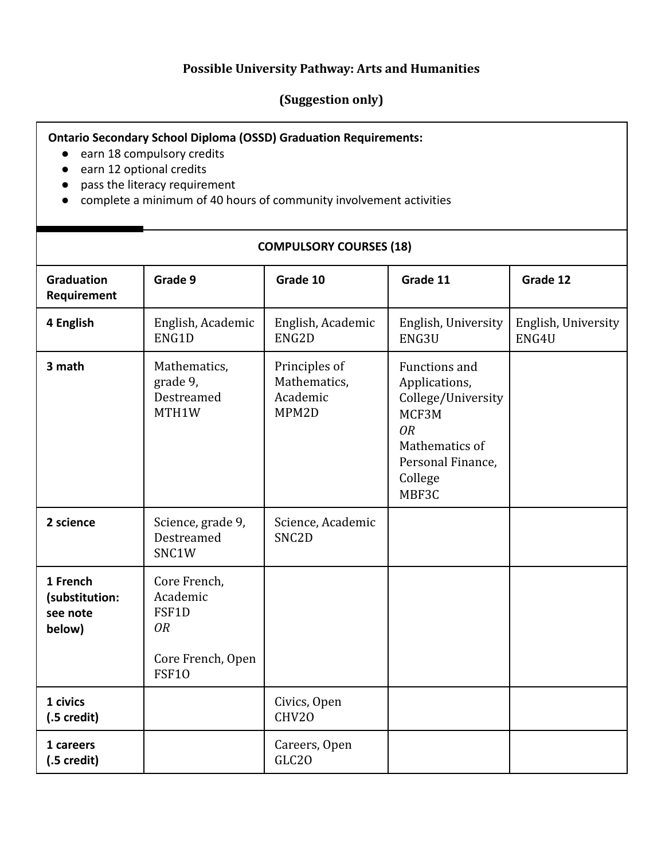## **Possible University Pathway: Arts and Humanities**

## **(Suggestion only)**

## **Ontario Secondary School Diploma (OSSD) Graduation Requirements:**

- earn 18 compulsory credits
- earn 12 optional credits
- pass the literacy requirement
- complete a minimum of 40 hours of community involvement activities

## **COMPULSORY COURSES (18)**

| <b>Graduation</b><br>Requirement                 | Grade 9                                                                             | Grade 10                                           | Grade 11                                                                                                                              | Grade 12                     |
|--------------------------------------------------|-------------------------------------------------------------------------------------|----------------------------------------------------|---------------------------------------------------------------------------------------------------------------------------------------|------------------------------|
| 4 English                                        | English, Academic<br>ENG1D                                                          | English, Academic<br>ENG2D                         | English, University<br>ENG3U                                                                                                          | English, University<br>ENG4U |
| 3 math                                           | Mathematics,<br>grade 9,<br>Destreamed<br>MTH1W                                     | Principles of<br>Mathematics,<br>Academic<br>MPM2D | Functions and<br>Applications,<br>College/University<br>MCF3M<br><b>OR</b><br>Mathematics of<br>Personal Finance,<br>College<br>MBF3C |                              |
| 2 science                                        | Science, grade 9,<br>Destreamed<br>SNC1W                                            | Science, Academic<br>SNC <sub>2</sub> D            |                                                                                                                                       |                              |
| 1 French<br>(substitution:<br>see note<br>below) | Core French,<br>Academic<br>FSF1D<br><b>OR</b><br>Core French, Open<br><b>FSF10</b> |                                                    |                                                                                                                                       |                              |
| 1 civics<br>$(.5 \,\text{credit})$               |                                                                                     | Civics, Open<br>CHV20                              |                                                                                                                                       |                              |
| 1 careers<br>$(.5 \,\text{credit})$              |                                                                                     | Careers, Open<br>GLC <sub>20</sub>                 |                                                                                                                                       |                              |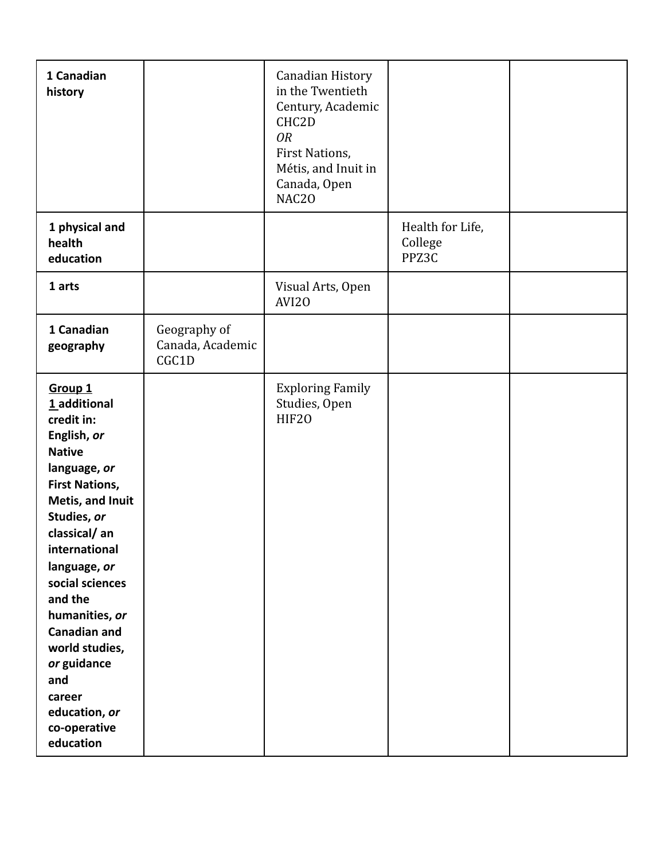| 1 Canadian<br>history                                                                                                                                                                                                                                                                                                                                                                |                                           | Canadian History<br>in the Twentieth<br>Century, Academic<br>CHC2D<br><b>OR</b><br>First Nations,<br>Métis, and Inuit in<br>Canada, Open<br>NAC20 |                                      |  |
|--------------------------------------------------------------------------------------------------------------------------------------------------------------------------------------------------------------------------------------------------------------------------------------------------------------------------------------------------------------------------------------|-------------------------------------------|---------------------------------------------------------------------------------------------------------------------------------------------------|--------------------------------------|--|
| 1 physical and<br>health<br>education                                                                                                                                                                                                                                                                                                                                                |                                           |                                                                                                                                                   | Health for Life,<br>College<br>PPZ3C |  |
| 1 arts                                                                                                                                                                                                                                                                                                                                                                               |                                           | Visual Arts, Open<br>AVI20                                                                                                                        |                                      |  |
| 1 Canadian<br>geography                                                                                                                                                                                                                                                                                                                                                              | Geography of<br>Canada, Academic<br>CGC1D |                                                                                                                                                   |                                      |  |
| Group <sub>1</sub><br>1 additional<br>credit in:<br>English, or<br><b>Native</b><br>language, or<br><b>First Nations,</b><br>Metis, and Inuit<br>Studies, or<br>classical/an<br>international<br>language, or<br>social sciences<br>and the<br>humanities, or<br><b>Canadian and</b><br>world studies,<br>or guidance<br>and<br>career<br>education, or<br>co-operative<br>education |                                           | <b>Exploring Family</b><br>Studies, Open<br>HIF20                                                                                                 |                                      |  |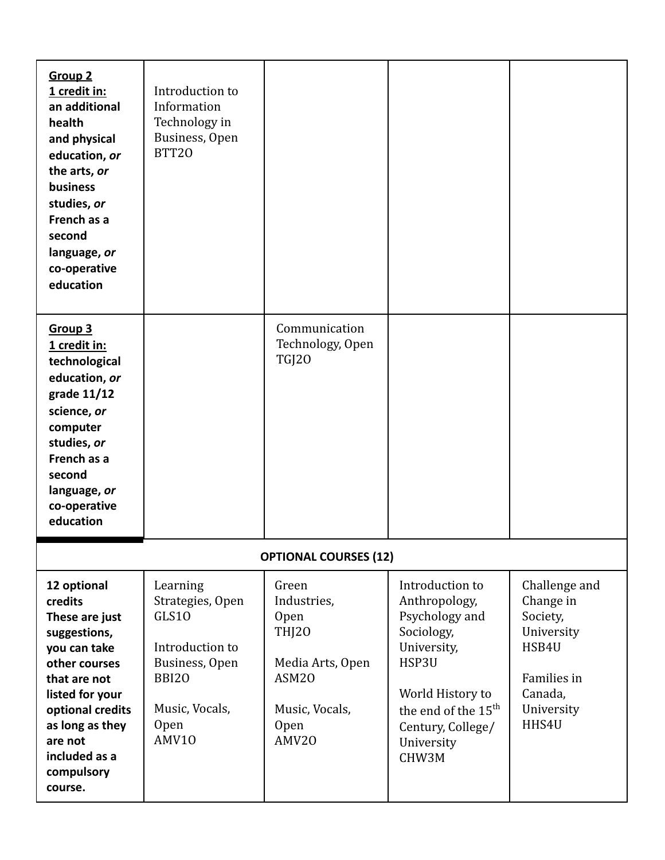| <b>Group 2</b><br>1 credit in:<br>an additional<br>health<br>and physical<br>education, or<br>the arts, or<br>business<br>studies, or<br>French as a<br>second<br>language, or<br>co-operative<br>education              | Introduction to<br>Information<br>Technology in<br>Business, Open<br>BTT20                                                           |                                                                                                                          |                                                                                                                                                                                             |                                                                                                                |
|--------------------------------------------------------------------------------------------------------------------------------------------------------------------------------------------------------------------------|--------------------------------------------------------------------------------------------------------------------------------------|--------------------------------------------------------------------------------------------------------------------------|---------------------------------------------------------------------------------------------------------------------------------------------------------------------------------------------|----------------------------------------------------------------------------------------------------------------|
| Group 3<br>1 credit in:<br>technological<br>education, or<br>grade 11/12<br>science, or<br>computer<br>studies, or<br>French as a<br>second<br>language, or<br>co-operative<br>education                                 |                                                                                                                                      | Communication<br>Technology, Open<br>TGJ20                                                                               |                                                                                                                                                                                             |                                                                                                                |
|                                                                                                                                                                                                                          |                                                                                                                                      | <b>OPTIONAL COURSES (12)</b>                                                                                             |                                                                                                                                                                                             |                                                                                                                |
| 12 optional<br>credits<br>These are just<br>suggestions,<br>you can take<br>other courses<br>that are not<br>listed for your<br>optional credits<br>as long as they<br>are not<br>included as a<br>compulsory<br>course. | Learning<br>Strategies, Open<br>GLS10<br>Introduction to<br>Business, Open<br><b>BBI20</b><br>Music, Vocals,<br><b>Open</b><br>AMV10 | Green<br>Industries,<br>Open<br><b>THJ20</b><br>Media Arts, Open<br>ASM <sub>20</sub><br>Music, Vocals,<br>Open<br>AMV20 | Introduction to<br>Anthropology,<br>Psychology and<br>Sociology,<br>University,<br>HSP3U<br>World History to<br>the end of the 15 <sup>th</sup><br>Century, College/<br>University<br>CHW3M | Challenge and<br>Change in<br>Society,<br>University<br>HSB4U<br>Families in<br>Canada,<br>University<br>HHS4U |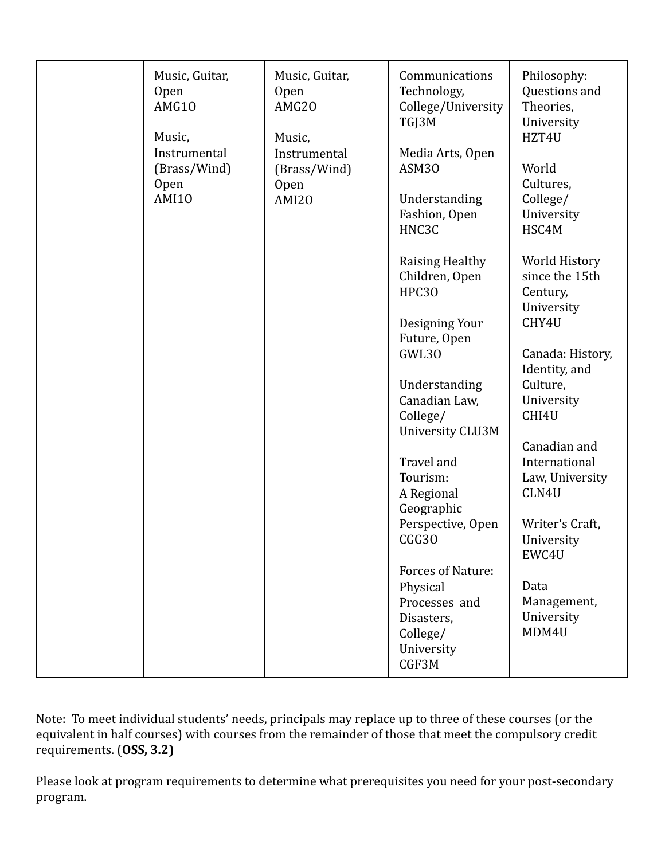| Music, Guitar,<br><b>Open</b><br>AMG10<br>Music,<br>Instrumental<br>(Brass/Wind)<br>Open<br><b>AMI10</b> | Music, Guitar,<br><b>Open</b><br>AMG20<br>Music,<br>Instrumental<br>(Brass/Wind)<br><b>Open</b><br>AMI20 | Communications<br>Technology,<br>College/University<br>TGJ3M<br>Media Arts, Open<br>ASM30<br>Understanding<br>Fashion, Open<br>HNC3C<br>Raising Healthy<br>Children, Open<br>HPC30<br>Designing Your<br>Future, Open<br>GWL30<br>Understanding<br>Canadian Law,<br>College/<br><b>University CLU3M</b><br>Travel and<br>Tourism:<br>A Regional<br>Geographic<br>Perspective, Open<br>CGG30<br>Forces of Nature:<br>Physical<br>Processes and | Philosophy:<br>Questions and<br>Theories,<br>University<br>HZT4U<br>World<br>Cultures,<br>College/<br>University<br>HSC4M<br>World History<br>since the 15th<br>Century,<br>University<br>CHY4U<br>Canada: History,<br>Identity, and<br>Culture,<br>University<br>CHI4U<br>Canadian and<br>International<br>Law, University<br>CLN4U<br>Writer's Craft,<br>University<br>EWC4U<br>Data<br>Management, |
|----------------------------------------------------------------------------------------------------------|----------------------------------------------------------------------------------------------------------|----------------------------------------------------------------------------------------------------------------------------------------------------------------------------------------------------------------------------------------------------------------------------------------------------------------------------------------------------------------------------------------------------------------------------------------------|-------------------------------------------------------------------------------------------------------------------------------------------------------------------------------------------------------------------------------------------------------------------------------------------------------------------------------------------------------------------------------------------------------|
|                                                                                                          |                                                                                                          | Disasters,<br>College/<br>University<br>CGF3M                                                                                                                                                                                                                                                                                                                                                                                                | University<br>MDM4U                                                                                                                                                                                                                                                                                                                                                                                   |

Note: To meet individual students' needs, principals may replace up to three of these courses (or the equivalent in half courses) with courses from the remainder of those that meet the compulsory credit requirements. (**OSS, 3.2)**

Please look at program requirements to determine what prerequisites you need for your post-secondary program.